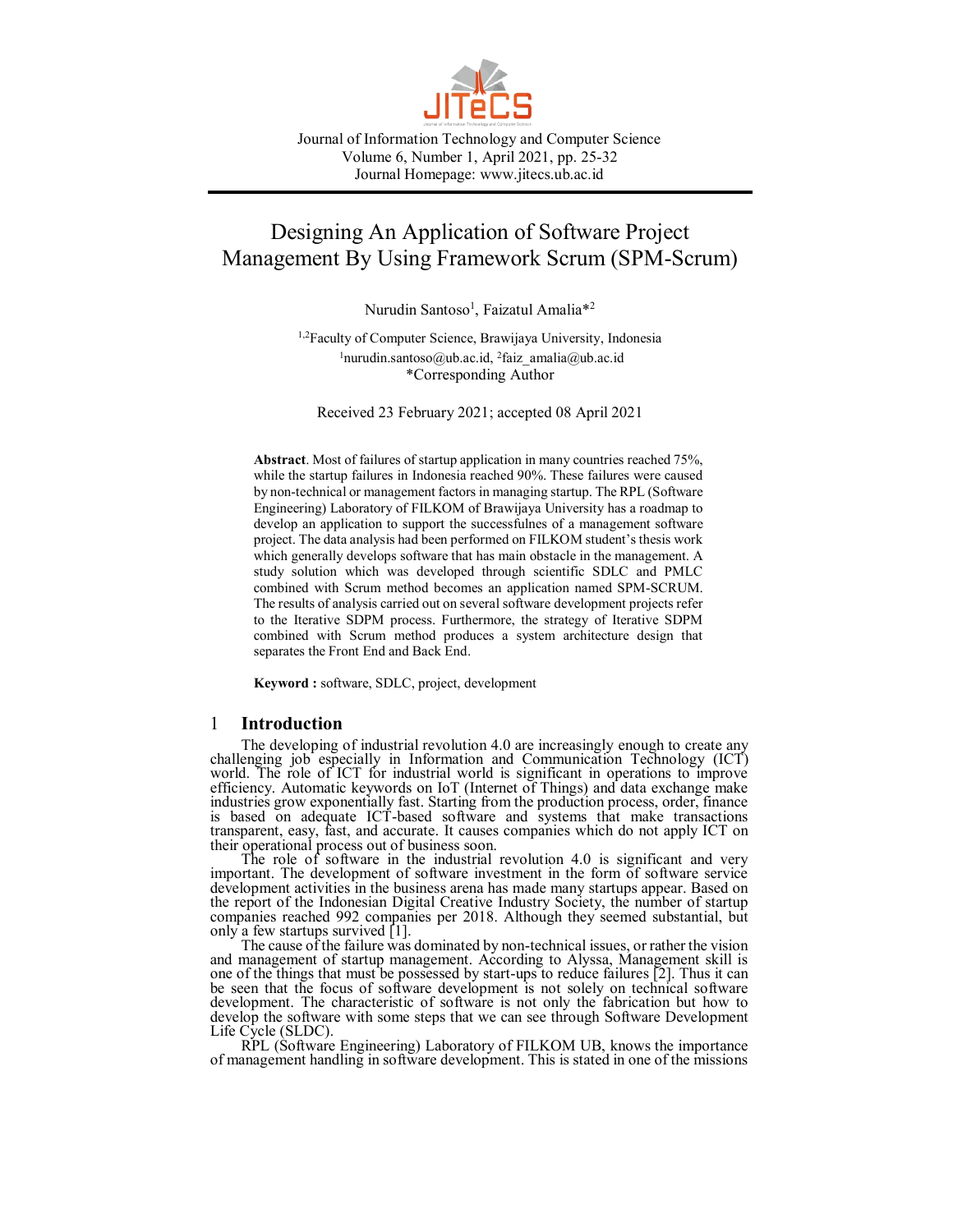

Journal of Information Technology and Computer Science Volume 6, Number 1, April 2021, pp. 25-32 Journal Homepage: www.jitecs.ub.ac.id

# Designing An Application of Software Project Management By Using Framework Scrum (SPM-Scrum)

Nurudin Santoso<sup>1</sup>, Faizatul Amalia\*<sup>2</sup>

1,2Faculty of Computer Science, Brawijaya University, Indonesia  $\frac{1}{2}$ [nurudin.santoso@ub.ac.id,](mailto:nurudin.santoso@ub.ac.id)  $\frac{2}{\pi}$ faiz amalia@ub.ac.id \*Corresponding Author

Received 23 February 2021; accepted 08 April 2021

**Abstract**. Most of failures of startup application in many countries reached 75%, while the startup failures in Indonesia reached 90%. These failures were caused by non-technical or management factors in managing startup. The RPL (Software Engineering) Laboratory of FILKOM of Brawijaya University has a roadmap to develop an application to support the successfulnes of a management software project. The data analysis had been performed on FILKOM student's thesis work which generally develops software that has main obstacle in the management. A study solution which was developed through scientific SDLC and PMLC combined with Scrum method becomes an application named SPM-SCRUM. The results of analysis carried out on several software development projects refer to the Iterative SDPM process. Furthermore, the strategy of Iterative SDPM combined with Scrum method produces a system architecture design that separates the Front End and Back End.

**Keyword :** software, SDLC, project, development

# 1 **Introduction**

The developing of industrial revolution 4.0 are increasingly enough to create any challenging job especially in Information and Communication Technology (ICT) world. The role of ICT for industrial world is significant in operations to improve efficiency. Automatic keywords on IoT (Internet of Things) and data exchange make industries grow exponentially fast. Starting from the production process, order, finance is based on adequate ICT-based software and systems that make transactions transparent, easy, fast, and accurate. It causes companies which do not apply ICT on their operational process out of business soon.

The role of software in the industrial revolution 4.0 is significant and very important. The development of software investment in the form of software service development activities in the business arena has made many startups appear. Based on the report of the Indonesian Digital Creative Industry Society, the number of startup companies reached 992 companies per 2018. Although they seemed substantial, but only a few startups survived [1].

The cause of the failure was dominated by non-technical issues, or rather the vision and management of startup management. According to Alyssa, Management skill is one of the things that must be possessed by start-ups to reduce failures  $\lceil 2 \rceil$ . Thus it can be seen that the focus of software development is not solely on technical software development. The characteristic of software is not only the fabrication but how to develop the software with some steps that we can see through Software Development Life Cycle (SLDC).

RPL (Software Engineering) Laboratory of FILKOM UB, knows the importance of management handling in software development. This is stated in one of the missions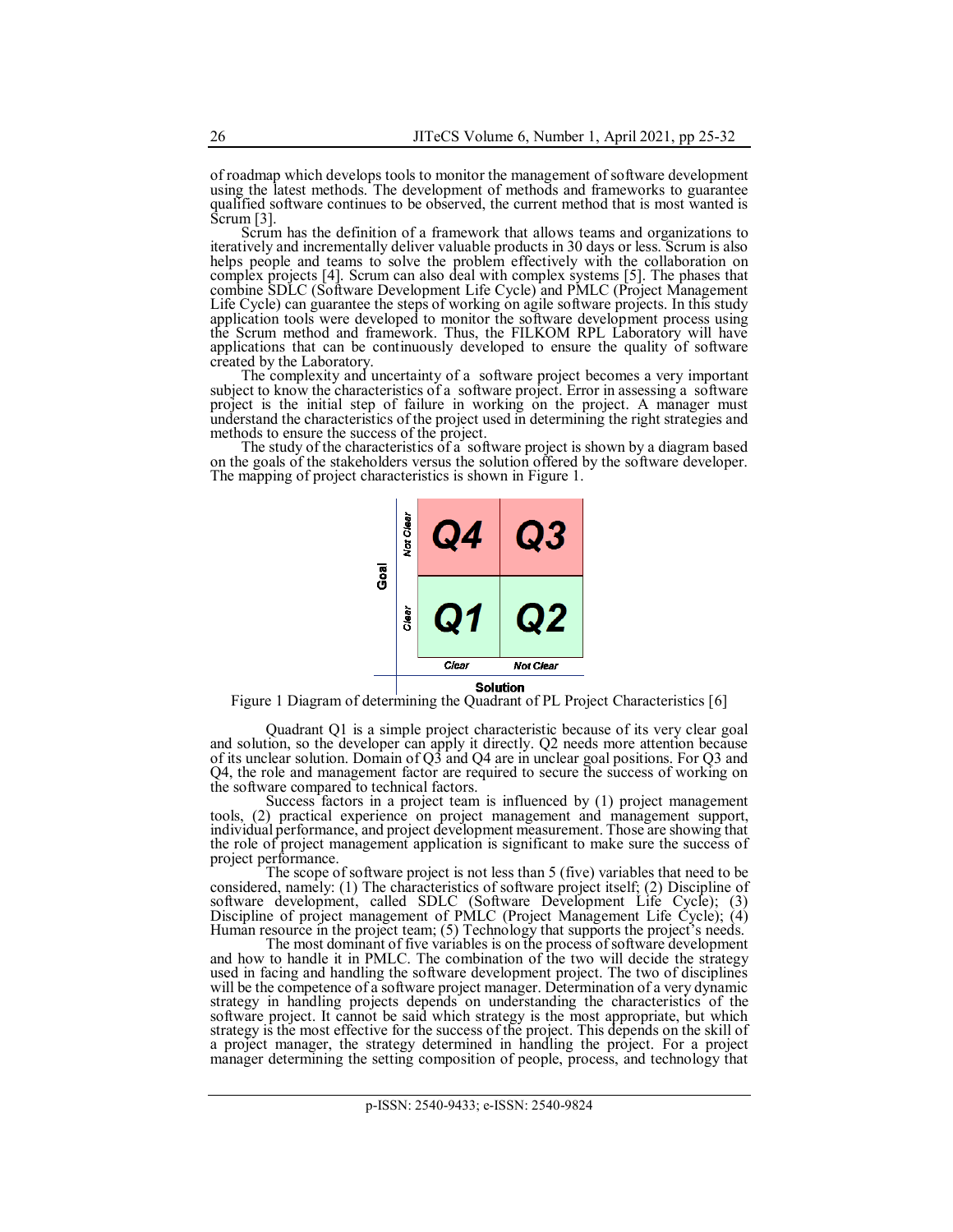of roadmap which develops tools to monitor the management of software development using the latest methods. The development of methods and frameworks to guarantee qualified software continues to be observed, the current method that is most wanted is Scrum [3].

Scrum has the definition of a framework that allows teams and organizations to iteratively and incrementally deliver valuable products in 30 days or less. Scrum is also helps people and teams to solve the problem effectively with the collaboration on complex projects [4]. Scrum can also deal with complex systems [5]. The phases that combine SDLC (Software Development Life Cycle) and PMLC (Project Management Life Cycle) can guarantee the steps of working on agile software projects. In this study application tools were developed to monitor the software development process using the Scrum method and framework. Thus, the FILKOM RPL Laboratory will have applications that can be continuously developed to ensure the quality of software created by the Laboratory.

The complexity and uncertainty of a software project becomes a very important subject to know the characteristics of a software project. Error in assessing a software project is the initial step of failure in working on the project. A manager must understand the characteristics of the project used in determining the right strategies and methods to ensure the success of the project.

The study of the characteristics of a software project is shown by a diagram based on the goals of the stakeholders versus the solution offered by the software developer. The mapping of project characteristics is shown in Figure 1.



Figure 1 Diagram of determining the Quadrant of PL Project Characteristics [6]

Quadrant Q1 is a simple project characteristic because of its very clear goal and solution, so the developer can apply it directly. Q2 needs more attention because of its unclear solution. Domain of Q3 and Q4 are in unclear goal positions. For Q3 and Q4, the role and management factor are required to secure the success of working on the software compared to technical factors.

Success factors in a project team is influenced by (1) project management tools, (2) practical experience on project management and management support, individual performance, and project development measurement. Those are showing that the role of project management application is significant to make sure the success of project performance.

The scope of software project is not less than 5 (five) variables that need to be considered, namely: (1) The characteristics of software project itself; (2) Discipline of software development, called SDLC (Software Development Life Cycle); (3) Discipline of project management of PMLC (Project Management Life Cycle); (4) Human resource in the project team; (5) Technology that supports the project's needs.

The most dominant of five variables is on the process of software development and how to handle it in PMLC. The combination of the two will decide the strategy used in facing and handling the software development project. The two of disciplines will be the competence of a software project manager. Determination of a very dynamic strategy in handling projects depends on understanding the characteristics of the software project. It cannot be said which strategy is the most appropriate, but which strategy is the most effective for the success of the project. This depends on the skill of a project manager, the strategy determined in handling the project. For a project manager determining the setting composition of people, process, and technology that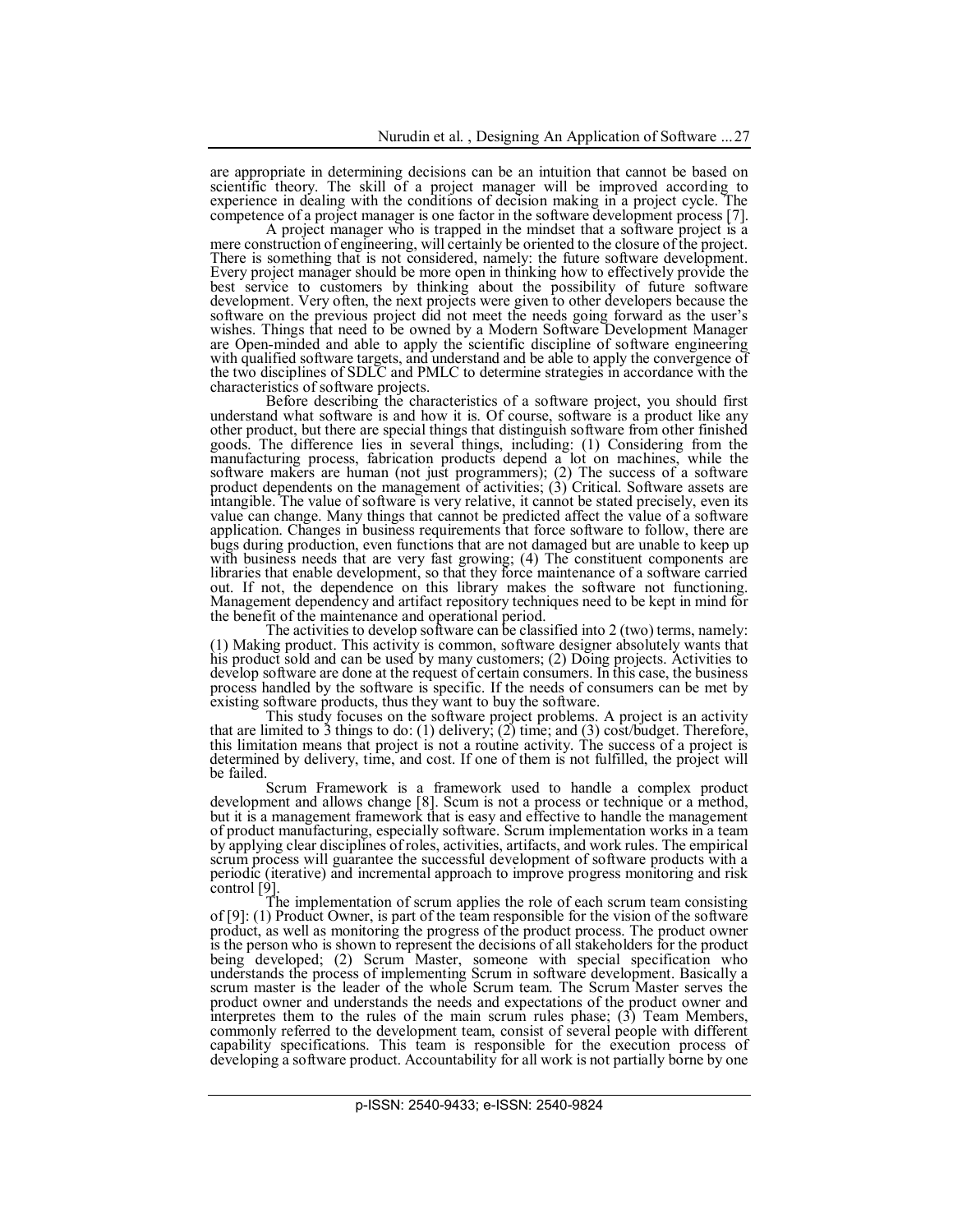are appropriate in determining decisions can be an intuition that cannot be based on scientific theory. The skill of a project manager will be improved according to experience in dealing with the conditions of decision making in a project cycle. The competence of a project manager is one factor in the software development process [7].

A project manager who is trapped in the mindset that a software project is a mere construction of engineering, will certainly be oriented to the closure of the project. There is something that is not considered, namely: the future software development. Every project manager should be more open in thinking how to effectively provide the best service to customers by thinking about the possibility of future software development. Very often, the next projects were given to other developers because the software on the previous project did not meet the needs going forward as the user's wishes. Things that need to be owned by a Modern Software Development Manager are Open-minded and able to apply the scientific discipline of software engineering with qualified software targets, and understand and be able to apply the convergence of the two disciplines of SDLC and PMLC to determine strategies in accordance with the characteristics of software projects.

Before describing the characteristics of a software project, you should first understand what software is and how it is. Of course, software is a product like any other product, but there are special things that distinguish software from other finished goods. The difference lies in several things, including: (1) Considering from the manufacturing process, fabrication products depend a lot on machines, while the software makers are human (not just programmers); (2) The success of a software product dependents on the management of activities; (3) Critical. Software assets are intangible. The value of software is very relative, it cannot be stated precisely, even its value can change. Many things that cannot be predicted affect the value of a software application. Changes in business requirements that force software to follow, there are bugs during production, even functions that are not damaged but are unable to keep up with business needs that are very fast growing; (4) The constituent components are libraries that enable development, so that they force maintenance of a software carried out. If not, the dependence on this library makes the software not functioning. Management dependency and artifact repository techniques need to be kept in mind for the benefit of the maintenance and operational period.

The activities to develop software can be classified into 2 (two) terms, namely: (1) Making product. This activity is common, software designer absolutely wants that his product sold and can be used by many customers; (2) Doing projects. Activities to develop software are done at the request of certain consumers. In this case, the business process handled by the software is specific. If the needs of consumers can be met by existing software products, thus they want to buy the software.

This study focuses on the software project problems. A project is an activity that are limited to  $\overline{3}$  things to do: (1) delivery; (2) time; and (3) cost/budget. Therefore, this limitation means that project is not a routine activity. The success of a project is determined by delivery, time, and cost. If one of them is not fulfilled, the project will be failed.

Scrum Framework is a framework used to handle a complex product development and allows change [8]. Scum is not a process or technique or a method, but it is a management framework that is easy and effective to handle the management of product manufacturing, especially software. Scrum implementation works in a team by applying clear disciplines of roles, activities, artifacts, and work rules. The empirical scrum process will guarantee the successful development of software products with a periodic (iterative) and incremental approach to improve progress monitoring and risk control [9].

The implementation of scrum applies the role of each scrum team consisting of  $[9]$ : (1) Product Owner, is part of the team responsible for the vision of the software product, as well as monitoring the progress of the product process. The product owner is the person who is shown to represent the decisions of all stakeholders for the product being developed; (2) Scrum Master, someone with special specification who understands the process of implementing Scrum in software development. Basically a scrum master is the leader of the whole Scrum team. The Scrum Master serves the product owner and understands the needs and expectations of the product owner and interpretes them to the rules of the main scrum rules phase; (3) Team Members, commonly referred to the development team, consist of several people with different capability specifications. This team is responsible for the execution process of developing a software product. Accountability for all work is not partially borne by one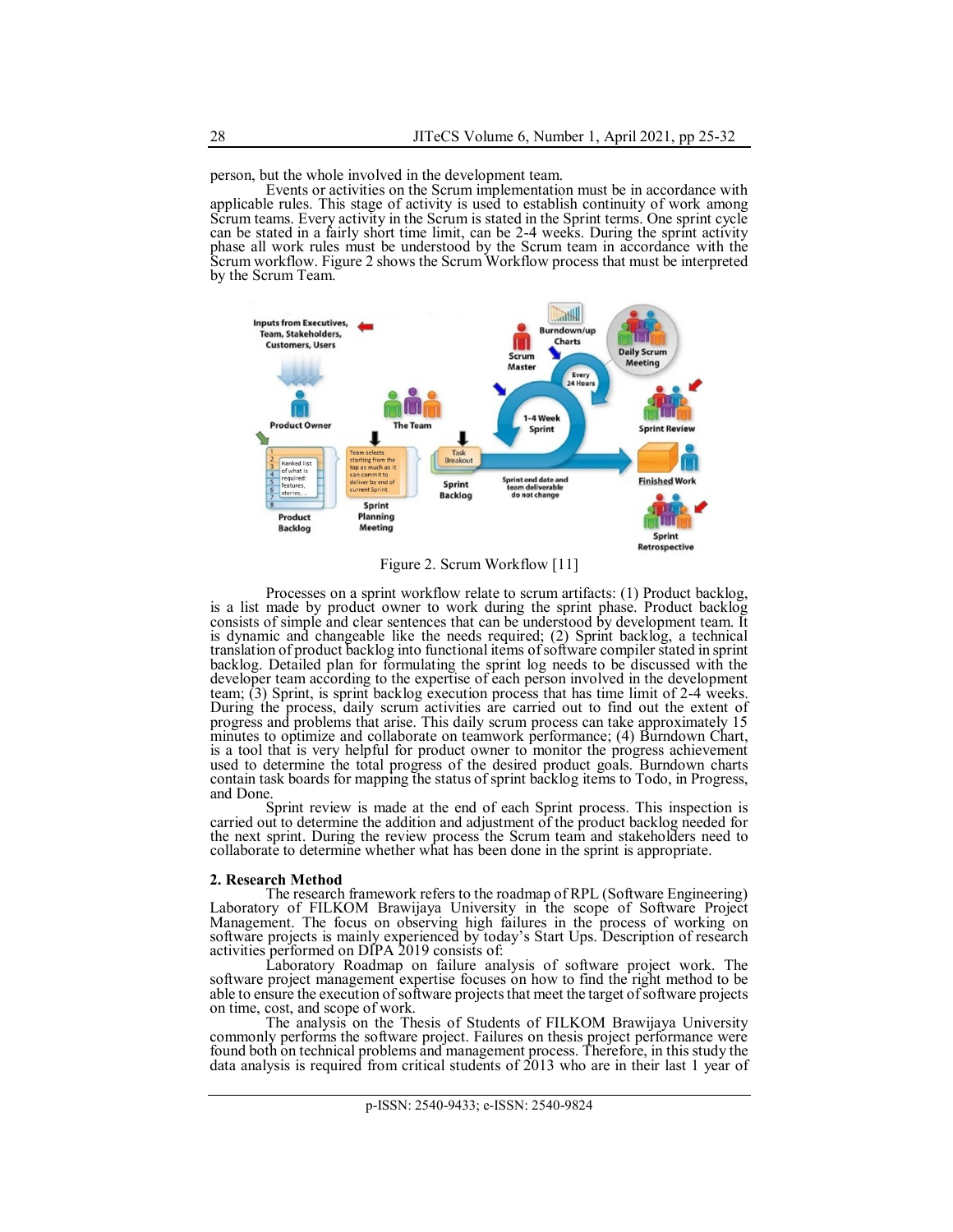person, but the whole involved in the development team.

Events or activities on the Scrum implementation must be in accordance with applicable rules. This stage of activity is used to establish continuity of work among Scrum teams. Every activity in the Scrum is stated in the Sprint terms. One sprint cycle can be stated in a fairly short time limit, can be 2-4 weeks. During the sprint activity phase all work rules must be understood by the Scrum team in accordance with the Scrum workflow. Figure 2 shows the Scrum Workflow process that must be interpreted by the Scrum Team.



Figure 2. Scrum Workflow [11]

Processes on a sprint workflow relate to scrum artifacts: (1) Product backlog, is a list made by product owner to work during the sprint phase. Product backlog consists of simple and clear sentences that can be understood by development team. It is dynamic and changeable like the needs required; (2) Sprint backlog, a technical translation of product backlog into functional items of software compiler stated in sprint backlog. Detailed plan for formulating the sprint log needs to be discussed with the developer team according to the expertise of each person involved in the development team; (3) Sprint, is sprint backlog execution process that has time limit of 2-4 weeks. During the process, daily scrum activities are carried out to find out the extent of progress and problems that arise. This daily scrum process can take approximately 15 minutes to optimize and collaborate on teamwork performance; (4) Burndown Chart, is a tool that is very helpful for product owner to monitor the progress achievement used to determine the total progress of the desired product goals. Burndown charts contain task boards for mapping the status of sprint backlog items to Todo, in Progress, and Done.

Sprint review is made at the end of each Sprint process. This inspection is carried out to determine the addition and adjustment of the product backlog needed for the next sprint. During the review process the Scrum team and stakeholders need to collaborate to determine whether what has been done in the sprint is appropriate.

### **2. Research Method**

The research framework refers to the roadmap of RPL (Software Engineering) Laboratory of FILKOM Brawijaya University in the scope of Software Project Management. The focus on observing high failures in the process of working on software projects is mainly experienced by today's Start Ups. Description of research activities performed on DIPA 2019 consists of:

Laboratory Roadmap on failure analysis of software project work. The software project management expertise focuses on how to find the right method to be able to ensure the execution of software projects that meet the target of software projects on time, cost, and scope of work.

The analysis on the Thesis of Students of FILKOM Brawijaya University commonly performs the software project. Failures on thesis project performance were found both on technical problems and management process. Therefore, in this study the data analysis is required from critical students of 2013 who are in their last 1 year of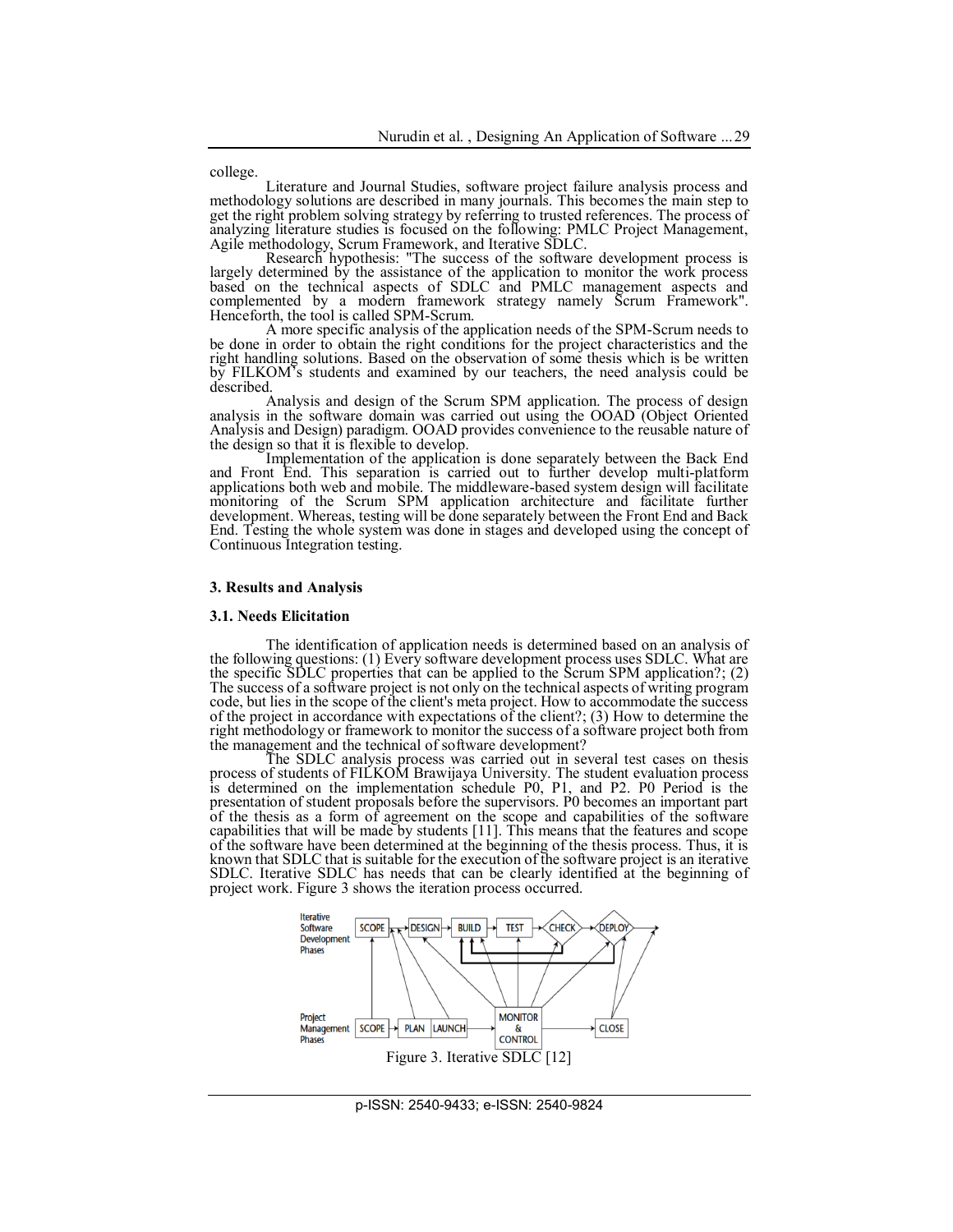college.

Literature and Journal Studies, software project failure analysis process and methodology solutions are described in many journals. This becomes the main step to get the right problem solving strategy by referring to trusted references. The process of analyzing literature studies is focused on the following: PMLC Project Management, Agile methodology, Scrum Framework, and Iterative SDLC.

Research hypothesis: "The success of the software development process is largely determined by the assistance of the application to monitor the work process based on the technical aspects of SDLC and PMLC management aspects and complemented by a modern framework strategy namely Scrum Framework". Henceforth, the tool is called SPM-Scrum.

A more specific analysis of the application needs of the SPM-Scrum needs to be done in order to obtain the right conditions for the project characteristics and the right handling solutions. Based on the observation of some thesis which is be written by FILKOM's students and examined by our teachers, the need analysis could be described.

Analysis and design of the Scrum SPM application. The process of design analysis in the software domain was carried out using the OOAD (Object Oriented Analysis and Design) paradigm. OOAD provides convenience to the reusable nature of the design so that it is flexible to develop.

Implementation of the application is done separately between the Back End and Front End. This separation is carried out to further develop multi-platform applications both web and mobile. The middleware-based system design will facilitate monitoring of the Scrum SPM application architecture and facilitate further development. Whereas, testing will be done separately between the Front End and Back End. Testing the whole system was done in stages and developed using the concept of Continuous Integration testing.

## **3. Results and Analysis**

## **3.1. Needs Elicitation**

The identification of application needs is determined based on an analysis of the following questions: (1) Every software development process uses SDLC. What are the specific SDLC properties that can be applied to the Scrum SPM application?; (2) The success of a software project is not only on the technical aspects of writing program code, but lies in the scope of the client's meta project. How to accommodate the success of the project in accordance with expectations of the client?; (3) How to determine the right methodology or framework to monitor the success of a software project both from the management and the technical of software development?

The SDLC analysis process was carried out in several test cases on thesis process of students of FILKOM Brawijaya University. The student evaluation process is determined on the implementation schedule P0, P1, and P2. P0 Period is the presentation of student proposals before the supervisors. P0 becomes an important part of the thesis as a form of agreement on the scope and capabilities of the software capabilities that will be made by students [11]. This means that the features and scope of the software have been determined at the beginning of the thesis process. Thus, it is known that SDLC that is suitable for the execution of the software project is an iterative SDLC. Iterative SDLC has needs that can be clearly identified at the beginning of project work. Figure 3 shows the iteration process occurred.



p-ISSN: 2540-9433; e-ISSN: 2540-9824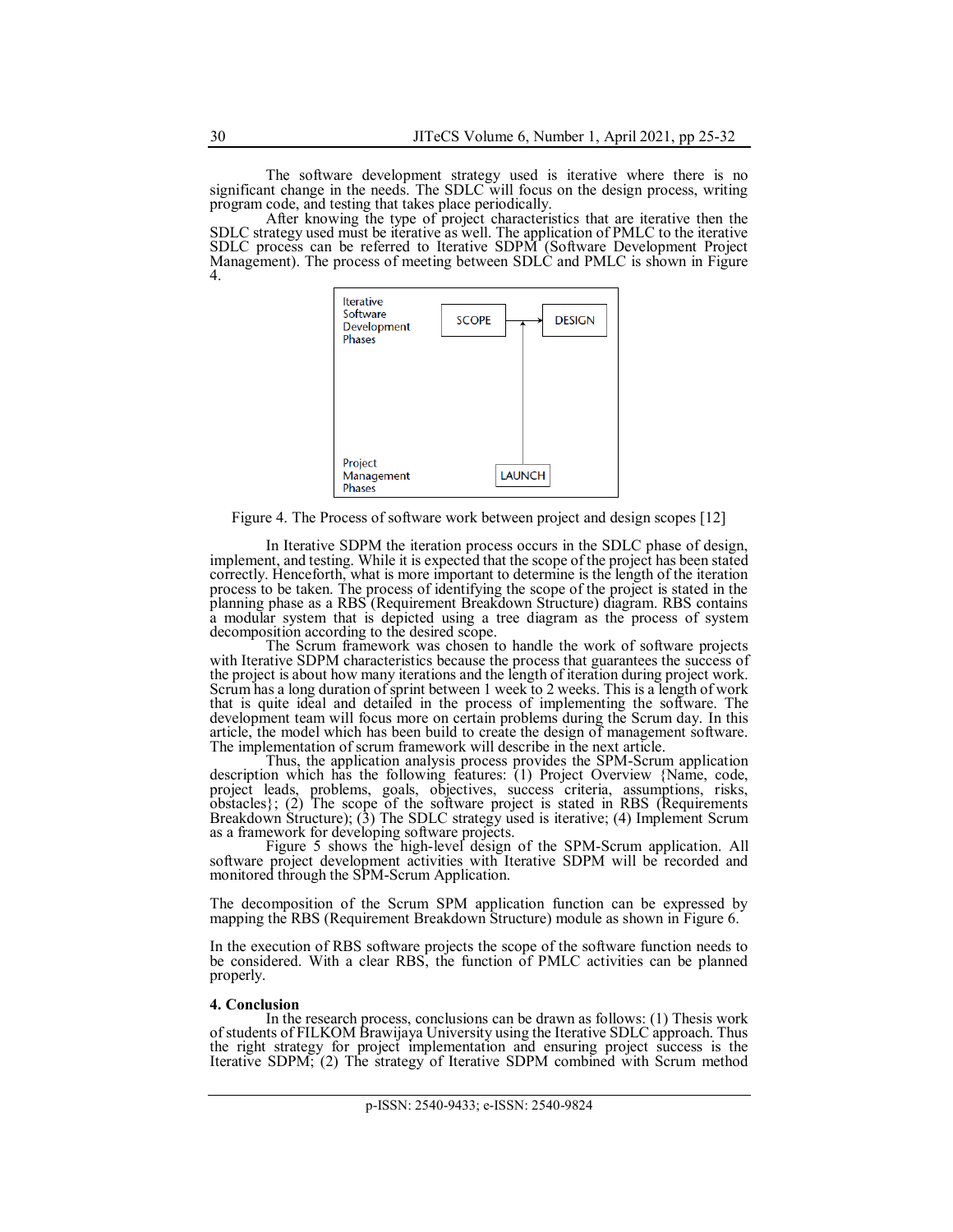The software development strategy used is iterative where there is no significant change in the needs. The SDLC will focus on the design process, writing program code, and testing that takes place periodically.

After knowing the type of project characteristics that are iterative then the SDLC strategy used must be iterative as well. The application of PMLC to the iterative SDLC process can be referred to Iterative SDPM (Software Development Project Management). The process of meeting between SDLC and PMLC is shown in Figure 4.



Figure 4. The Process of software work between project and design scopes [12]

In Iterative SDPM the iteration process occurs in the SDLC phase of design, implement, and testing. While it is expected that the scope of the project has been stated correctly. Henceforth, what is more important to determine is the length of the iteration process to be taken. The process of identifying the scope of the project is stated in the planning phase as a RBS (Requirement Breakdown Structure) diagram. RBS contains a modular system that is depicted using a tree diagram as the process of system decomposition according to the desired scope.

The Scrum framework was chosen to handle the work of software projects with Iterative SDPM characteristics because the process that guarantees the success of the project is about how many iterations and the length of iteration during project work. Scrum has a long duration of sprint between 1 week to 2 weeks. This is a length of work that is quite ideal and detailed in the process of implementing the software. The development team will focus more on certain problems during the Scrum day. In this article, the model which has been build to create the design of management software. The implementation of scrum framework will describe in the next article.

Thus, the application analysis process provides the SPM-Scrum application description which has the following features: (1) Project Overview {Name, code, project leads, problems, goals, objectives, success criteria, assumptions, risks, obstacles}; (2) The scope of the software project is stated in RBS (Requirements Breakdown Structure); (3) The SDLC strategy used is iterative; (4) Implement Scrum as a framework for developing software projects.

Figure 5 shows the high-level design of the SPM-Scrum application. All software project development activities with Iterative SDPM will be recorded and monitored through the SPM-Scrum Application.

The decomposition of the Scrum SPM application function can be expressed by mapping the RBS (Requirement Breakdown Structure) module as shown in Figure 6.

In the execution of RBS software projects the scope of the software function needs to be considered. With a clear RBS, the function of PMLC activities can be planned properly.

#### **4. Conclusion**

In the research process, conclusions can be drawn as follows: (1) Thesis work of students of FILKOM Brawijaya University using the Iterative SDLC approach. Thus the right strategy for project implementation and ensuring project success is the Iterative SDPM; (2) The strategy of Iterative SDPM combined with Scrum method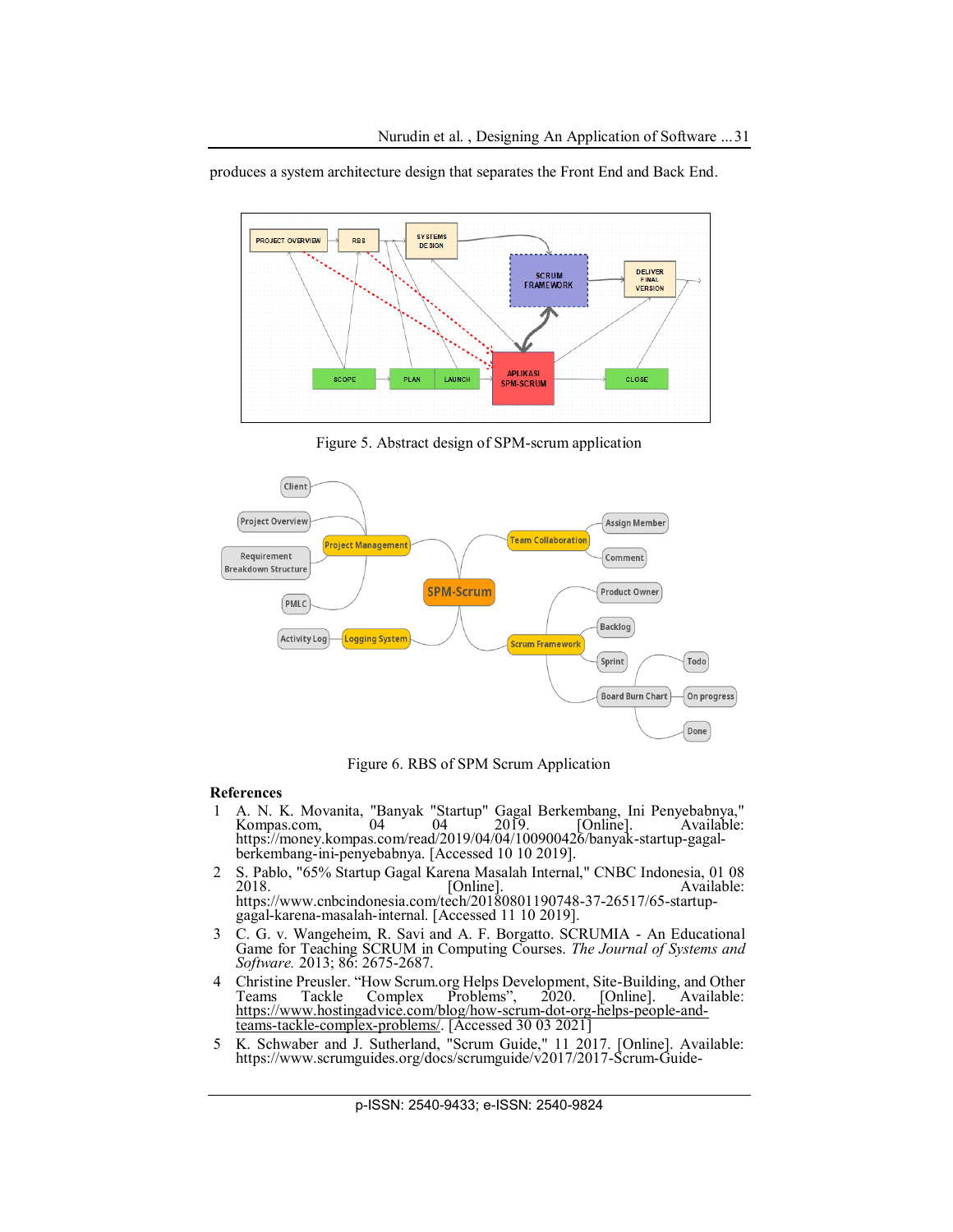

produces a system architecture design that separates the Front End and Back End.

Figure 5. Abstract design of SPM-scrum application



Figure 6. RBS of SPM Scrum Application

# **References**

- 1 A. N. K. Movanita, "Banyak "Startup" Gagal Berkembang, Ini Penyebabnya," Kompas.com, 04 04 2019. [Online]. Available: https://money.kompas.com/read/2019/04/04/100900426/banyak-startup-gagalberkembang-ini-penyebabnya. [Accessed 10 10 2019].
- 2 S. Pablo, "65% Startup Gagal Karena Masalah Internal," CNBC Indonesia, 01 08 2018. **Communicate Communicate** Communication and Communications and Available: https://www.cnbcindonesia.com/tech/20180801190748-37-26517/65-startupgagal-karena-masalah-internal. [Accessed 11 10 2019].
- 3 C. G. v. Wangeheim, R. Savi and A. F. Borgatto. SCRUMIA An Educational Game for Teaching SCRUM in Computing Courses. *The Journal of Systems and Software.* 2013; 86: 2675-2687.
- 4 Christine Preusler. "How Scrum.org Helps Development, Site-Building, and Other<br>Teams Tackle Complex Problems", 2020. [Online]. Available: Teams Tackle Complex Problems", 2020. [Online]. Available: [https://www.hostingadvice.com/blog/how-scrum-dot-org-helps-people-and](https://www.hostingadvice.com/blog/how-scrum-dot-org-helps-people-and-teams-tackle-complex-problems/)[teams-tackle-complex-problems/.](https://www.hostingadvice.com/blog/how-scrum-dot-org-helps-people-and-teams-tackle-complex-problems/) [Accessed 30 03 2021]
- 5 K. Schwaber and J. Sutherland, "Scrum Guide," 11 2017. [Online]. Available: https://www.scrumguides.org/docs/scrumguide/v2017/2017-Scrum-Guide-